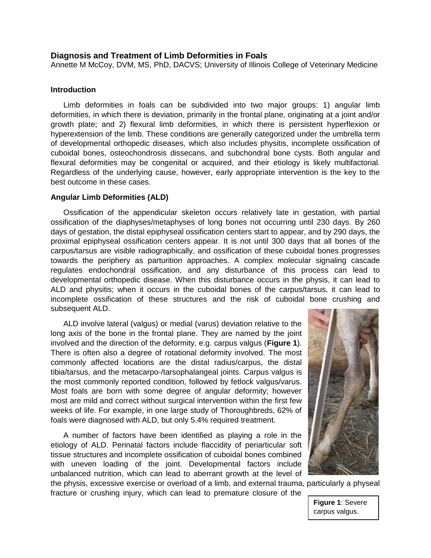### **Diagnosis and Treatment of Limb Deformities in Foals**

Annette M McCoy, DVM, MS, PhD, DACVS; University of Illinois College of Veterinary Medicine

### **Introduction**

Limb deformities in foals can be subdivided into two major groups: 1) angular limb deformities, in which there is deviation, primarily in the frontal plane, originating at a joint and/or growth plate; and 2) flexural limb deformities, in which there is persistent hyperflexion or hyperextension of the limb. These conditions are generally categorized under the umbrella term of developmental orthopedic diseases, which also includes physitis, incomplete ossification of cuboidal bones, osteochondrosis dissecans, and subchondral bone cysts. Both angular and flexural deformities may be congenital or acquired, and their etiology is likely multifactorial. Regardless of the underlying cause, however, early appropriate intervention is the key to the best outcome in these cases.

#### **Angular Limb Deformities (ALD)**

Ossification of the appendicular skeleton occurs relatively late in gestation, with partial ossification of the diaphyses/metaphyses of long bones not occurring until 230 days. By 260 days of gestation, the distal epiphyseal ossification centers start to appear, and by 290 days, the proximal epiphyseal ossification centers appear. It is not until 300 days that all bones of the carpus/tarsus are visible radiographically, and ossification of these cuboidal bones progresses towards the periphery as parturition approaches. A complex molecular signaling cascade regulates endochondral ossification, and any disturbance of this process can lead to developmental orthopedic disease. When this disturbance occurs in the physis, it can lead to ALD and physitis; when it occurs in the cuboidal bones of the carpus/tarsus, it can lead to incomplete ossification of these structures and the risk of cuboidal bone crushing and subsequent ALD.

ALD involve lateral (valgus) or medial (varus) deviation relative to the long axis of the bone in the frontal plane. They are named by the joint involved and the direction of the deformity, e.g. carpus valgus (**Figure 1**). There is often also a degree of rotational deformity involved. The most commonly affected locations are the distal radius/carpus, the distal tibia/tarsus, and the metacarpo-/tarsophalangeal joints. Carpus valgus is the most commonly reported condition, followed by fetlock valgus/varus. Most foals are born with some degree of angular deformity; however most are mild and correct without surgical intervention within the first few weeks of life. For example, in one large study of Thoroughbreds, 62% of foals were diagnosed with ALD, but only 5.4% required treatment.

A number of factors have been identified as playing a role in the etiology of ALD. Perinatal factors include flaccidity of periarticular soft tissue structures and incomplete ossification of cuboidal bones combined with uneven loading of the joint. Developmental factors include unbalanced nutrition, which can lead to aberrant growth at the level of





**Figure 1**: Severe carpus valgus.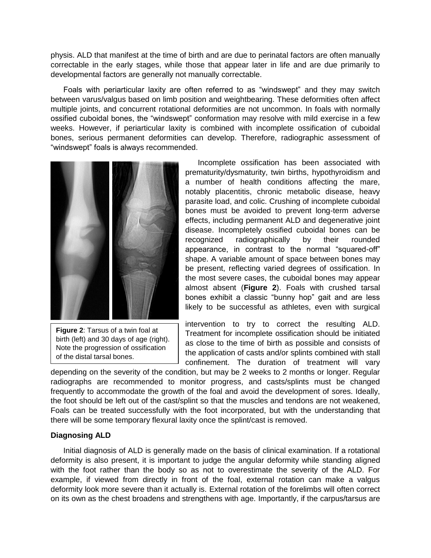physis. ALD that manifest at the time of birth and are due to perinatal factors are often manually correctable in the early stages, while those that appear later in life and are due primarily to developmental factors are generally not manually correctable.

Foals with periarticular laxity are often referred to as "windswept" and they may switch between varus/valgus based on limb position and weightbearing. These deformities often affect multiple joints, and concurrent rotational deformities are not uncommon. In foals with normally ossified cuboidal bones, the "windswept" conformation may resolve with mild exercise in a few weeks. However, if periarticular laxity is combined with incomplete ossification of cuboidal bones, serious permanent deformities can develop. Therefore, radiographic assessment of "windswept" foals is always recommended.



**Figure 2**: Tarsus of a twin foal at birth (left) and 30 days of age (right). Note the progression of ossification of the distal tarsal bones.

Incomplete ossification has been associated with prematurity/dysmaturity, twin births, hypothyroidism and a number of health conditions affecting the mare, notably placentitis, chronic metabolic disease, heavy parasite load, and colic. Crushing of incomplete cuboidal bones must be avoided to prevent long-term adverse effects, including permanent ALD and degenerative joint disease. Incompletely ossified cuboidal bones can be recognized radiographically by their rounded appearance, in contrast to the normal "squared-off" shape. A variable amount of space between bones may be present, reflecting varied degrees of ossification. In the most severe cases, the cuboidal bones may appear almost absent (**Figure 2**). Foals with crushed tarsal bones exhibit a classic "bunny hop" gait and are less likely to be successful as athletes, even with surgical

intervention to try to correct the resulting ALD. Treatment for incomplete ossification should be initiated as close to the time of birth as possible and consists of the application of casts and/or splints combined with stall confinement. The duration of treatment will vary

depending on the severity of the condition, but may be 2 weeks to 2 months or longer. Regular radiographs are recommended to monitor progress, and casts/splints must be changed frequently to accommodate the growth of the foal and avoid the development of sores. Ideally, the foot should be left out of the cast/splint so that the muscles and tendons are not weakened, Foals can be treated successfully with the foot incorporated, but with the understanding that there will be some temporary flexural laxity once the splint/cast is removed.

## **Diagnosing ALD**

Initial diagnosis of ALD is generally made on the basis of clinical examination. If a rotational deformity is also present, it is important to judge the angular deformity while standing aligned with the foot rather than the body so as not to overestimate the severity of the ALD. For example, if viewed from directly in front of the foal, external rotation can make a valgus deformity look more severe than it actually is. External rotation of the forelimbs will often correct on its own as the chest broadens and strengthens with age. Importantly, if the carpus/tarsus are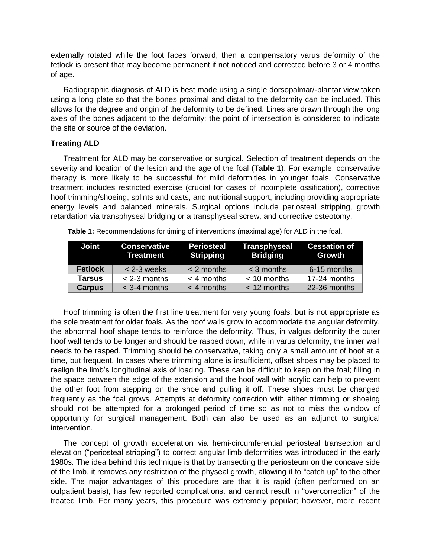externally rotated while the foot faces forward, then a compensatory varus deformity of the fetlock is present that may become permanent if not noticed and corrected before 3 or 4 months of age.

Radiographic diagnosis of ALD is best made using a single dorsopalmar/-plantar view taken using a long plate so that the bones proximal and distal to the deformity can be included. This allows for the degree and origin of the deformity to be defined. Lines are drawn through the long axes of the bones adjacent to the deformity; the point of intersection is considered to indicate the site or source of the deviation.

# **Treating ALD**

Treatment for ALD may be conservative or surgical. Selection of treatment depends on the severity and location of the lesion and the age of the foal (**Table 1**). For example, conservative therapy is more likely to be successful for mild deformities in younger foals. Conservative treatment includes restricted exercise (crucial for cases of incomplete ossification), corrective hoof trimming/shoeing, splints and casts, and nutritional support, including providing appropriate energy levels and balanced minerals. Surgical options include periosteal stripping, growth retardation via transphyseal bridging or a transphyseal screw, and corrective osteotomy.

| <b>Joint</b>   | <b>Conservative</b><br>Treatment | <b>Periosteal</b><br>Stripping | <b>Transphyseal</b><br>Bridging | <b>Cessation of</b><br>Growth |
|----------------|----------------------------------|--------------------------------|---------------------------------|-------------------------------|
| <b>Fetlock</b> | $< 2 - 3$ weeks                  | $< 2$ months                   | $<$ 3 months                    | 6-15 months                   |
| <b>Tarsus</b>  | $<$ 2-3 months                   | $<$ 4 months                   | $< 10$ months                   | 17-24 months                  |
| <b>Carpus</b>  | $<$ 3-4 months                   | $<$ 4 months                   | $<$ 12 months                   | 22-36 months                  |

**Table 1:** Recommendations for timing of interventions (maximal age) for ALD in the foal.

Hoof trimming is often the first line treatment for very young foals, but is not appropriate as the sole treatment for older foals. As the hoof walls grow to accommodate the angular deformity, the abnormal hoof shape tends to reinforce the deformity. Thus, in valgus deformity the outer hoof wall tends to be longer and should be rasped down, while in varus deformity, the inner wall needs to be rasped. Trimming should be conservative, taking only a small amount of hoof at a time, but frequent. In cases where trimming alone is insufficient, offset shoes may be placed to realign the limb's longitudinal axis of loading. These can be difficult to keep on the foal; filling in the space between the edge of the extension and the hoof wall with acrylic can help to prevent the other foot from stepping on the shoe and pulling it off. These shoes must be changed frequently as the foal grows. Attempts at deformity correction with either trimming or shoeing should not be attempted for a prolonged period of time so as not to miss the window of opportunity for surgical management. Both can also be used as an adjunct to surgical intervention.

The concept of growth acceleration via hemi-circumferential periosteal transection and elevation ("periosteal stripping") to correct angular limb deformities was introduced in the early 1980s. The idea behind this technique is that by transecting the periosteum on the concave side of the limb, it removes any restriction of the physeal growth, allowing it to "catch up" to the other side. The major advantages of this procedure are that it is rapid (often performed on an outpatient basis), has few reported complications, and cannot result in "overcorrection" of the treated limb. For many years, this procedure was extremely popular; however, more recent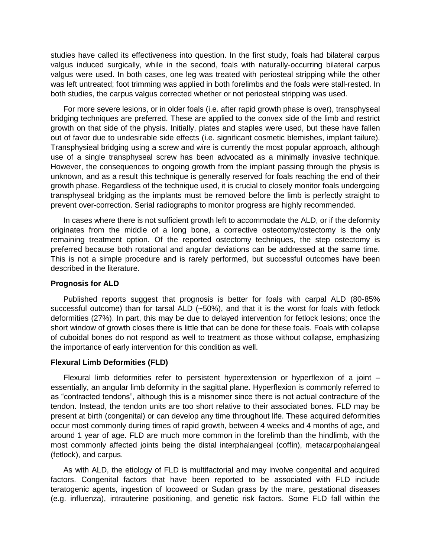studies have called its effectiveness into question. In the first study, foals had bilateral carpus valgus induced surgically, while in the second, foals with naturally-occurring bilateral carpus valgus were used. In both cases, one leg was treated with periosteal stripping while the other was left untreated; foot trimming was applied in both forelimbs and the foals were stall-rested. In both studies, the carpus valgus corrected whether or not periosteal stripping was used.

For more severe lesions, or in older foals (i.e. after rapid growth phase is over), transphyseal bridging techniques are preferred. These are applied to the convex side of the limb and restrict growth on that side of the physis. Initially, plates and staples were used, but these have fallen out of favor due to undesirable side effects (i.e. significant cosmetic blemishes, implant failure). Transphysieal bridging using a screw and wire is currently the most popular approach, although use of a single transphyseal screw has been advocated as a minimally invasive technique. However, the consequences to ongoing growth from the implant passing through the physis is unknown, and as a result this technique is generally reserved for foals reaching the end of their growth phase. Regardless of the technique used, it is crucial to closely monitor foals undergoing transphyseal bridging as the implants must be removed before the limb is perfectly straight to prevent over-correction. Serial radiographs to monitor progress are highly recommended.

In cases where there is not sufficient growth left to accommodate the ALD, or if the deformity originates from the middle of a long bone, a corrective osteotomy/ostectomy is the only remaining treatment option. Of the reported ostectomy techniques, the step ostectomy is preferred because both rotational and angular deviations can be addressed at the same time. This is not a simple procedure and is rarely performed, but successful outcomes have been described in the literature.

### **Prognosis for ALD**

Published reports suggest that prognosis is better for foals with carpal ALD (80-85% successful outcome) than for tarsal ALD (~50%), and that it is the worst for foals with fetlock deformities (27%). In part, this may be due to delayed intervention for fetlock lesions; once the short window of growth closes there is little that can be done for these foals. Foals with collapse of cuboidal bones do not respond as well to treatment as those without collapse, emphasizing the importance of early intervention for this condition as well.

## **Flexural Limb Deformities (FLD)**

Flexural limb deformities refer to persistent hyperextension or hyperflexion of a joint – essentially, an angular limb deformity in the sagittal plane. Hyperflexion is commonly referred to as "contracted tendons", although this is a misnomer since there is not actual contracture of the tendon. Instead, the tendon units are too short relative to their associated bones. FLD may be present at birth (congenital) or can develop any time throughout life. These acquired deformities occur most commonly during times of rapid growth, between 4 weeks and 4 months of age, and around 1 year of age. FLD are much more common in the forelimb than the hindlimb, with the most commonly affected joints being the distal interphalangeal (coffin), metacarpophalangeal (fetlock), and carpus.

As with ALD, the etiology of FLD is multifactorial and may involve congenital and acquired factors. Congenital factors that have been reported to be associated with FLD include teratogenic agents, ingestion of locoweed or Sudan grass by the mare, gestational diseases (e.g. influenza), intrauterine positioning, and genetic risk factors. Some FLD fall within the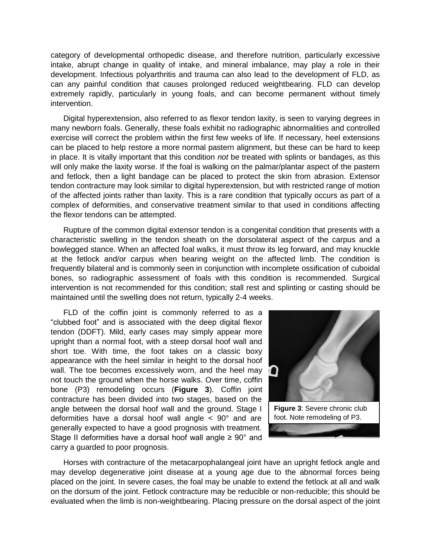category of developmental orthopedic disease, and therefore nutrition, particularly excessive intake, abrupt change in quality of intake, and mineral imbalance, may play a role in their development. Infectious polyarthritis and trauma can also lead to the development of FLD, as can any painful condition that causes prolonged reduced weightbearing. FLD can develop extremely rapidly, particularly in young foals, and can become permanent without timely intervention.

Digital hyperextension, also referred to as flexor tendon laxity, is seen to varying degrees in many newborn foals. Generally, these foals exhibit no radiographic abnormalities and controlled exercise will correct the problem within the first few weeks of life. If necessary, heel extensions can be placed to help restore a more normal pastern alignment, but these can be hard to keep in place. It is vitally important that this condition *not* be treated with splints or bandages, as this will only make the laxity worse. If the foal is walking on the palmar/plantar aspect of the pastern and fetlock, then a light bandage can be placed to protect the skin from abrasion. Extensor tendon contracture may look similar to digital hyperextension, but with restricted range of motion of the affected joints rather than laxity. This is a rare condition that typically occurs as part of a complex of deformities, and conservative treatment similar to that used in conditions affecting the flexor tendons can be attempted.

Rupture of the common digital extensor tendon is a congenital condition that presents with a characteristic swelling in the tendon sheath on the dorsolateral aspect of the carpus and a bowlegged stance. When an affected foal walks, it must throw its leg forward, and may knuckle at the fetlock and/or carpus when bearing weight on the affected limb. The condition is frequently bilateral and is commonly seen in conjunction with incomplete ossification of cuboidal bones, so radiographic assessment of foals with this condition is recommended. Surgical intervention is not recommended for this condition; stall rest and splinting or casting should be maintained until the swelling does not return, typically 2-4 weeks.

FLD of the coffin joint is commonly referred to as a "clubbed foot" and is associated with the deep digital flexor tendon (DDFT). Mild, early cases may simply appear more upright than a normal foot, with a steep dorsal hoof wall and short toe. With time, the foot takes on a classic boxy appearance with the heel similar in height to the dorsal hoof wall. The toe becomes excessively worn, and the heel may not touch the ground when the horse walks. Over time, coffin bone (P3) remodeling occurs (**Figure 3**). Coffin joint contracture has been divided into two stages, based on the angle between the dorsal hoof wall and the ground. Stage I deformities have a dorsal hoof wall angle < 90° and are generally expected to have a good prognosis with treatment. Stage II deformities have a dorsal hoof wall angle  $\geq 90^\circ$  and carry a guarded to poor prognosis.



Horses with contracture of the metacarpophalangeal joint have an upright fetlock angle and may develop degenerative joint disease at a young age due to the abnormal forces being placed on the joint. In severe cases, the foal may be unable to extend the fetlock at all and walk on the dorsum of the joint. Fetlock contracture may be reducible or non-reducible; this should be evaluated when the limb is non-weightbearing. Placing pressure on the dorsal aspect of the joint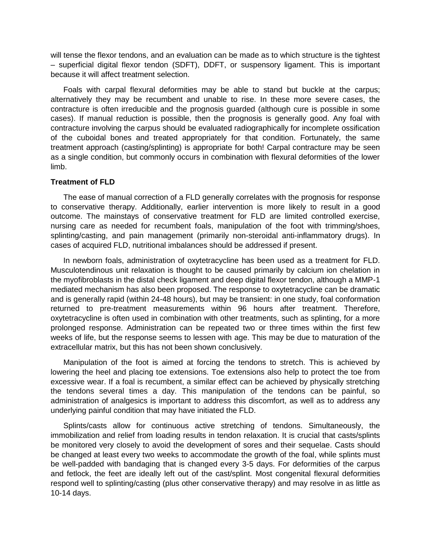will tense the flexor tendons, and an evaluation can be made as to which structure is the tightest – superficial digital flexor tendon (SDFT), DDFT, or suspensory ligament. This is important because it will affect treatment selection.

Foals with carpal flexural deformities may be able to stand but buckle at the carpus; alternatively they may be recumbent and unable to rise. In these more severe cases, the contracture is often irreducible and the prognosis guarded (although cure is possible in some cases). If manual reduction is possible, then the prognosis is generally good. Any foal with contracture involving the carpus should be evaluated radiographically for incomplete ossification of the cuboidal bones and treated appropriately for that condition. Fortunately, the same treatment approach (casting/splinting) is appropriate for both! Carpal contracture may be seen as a single condition, but commonly occurs in combination with flexural deformities of the lower limb.

## **Treatment of FLD**

The ease of manual correction of a FLD generally correlates with the prognosis for response to conservative therapy. Additionally, earlier intervention is more likely to result in a good outcome. The mainstays of conservative treatment for FLD are limited controlled exercise, nursing care as needed for recumbent foals, manipulation of the foot with trimming/shoes, splinting/casting, and pain management (primarily non-steroidal anti-inflammatory drugs). In cases of acquired FLD, nutritional imbalances should be addressed if present.

In newborn foals, administration of oxytetracycline has been used as a treatment for FLD. Musculotendinous unit relaxation is thought to be caused primarily by calcium ion chelation in the myofibroblasts in the distal check ligament and deep digital flexor tendon, although a MMP-1 mediated mechanism has also been proposed. The response to oxytetracycline can be dramatic and is generally rapid (within 24-48 hours), but may be transient: in one study, foal conformation returned to pre-treatment measurements within 96 hours after treatment. Therefore, oxytetracycline is often used in combination with other treatments, such as splinting, for a more prolonged response. Administration can be repeated two or three times within the first few weeks of life, but the response seems to lessen with age. This may be due to maturation of the extracellular matrix, but this has not been shown conclusively.

Manipulation of the foot is aimed at forcing the tendons to stretch. This is achieved by lowering the heel and placing toe extensions. Toe extensions also help to protect the toe from excessive wear. If a foal is recumbent, a similar effect can be achieved by physically stretching the tendons several times a day. This manipulation of the tendons can be painful, so administration of analgesics is important to address this discomfort, as well as to address any underlying painful condition that may have initiated the FLD.

Splints/casts allow for continuous active stretching of tendons. Simultaneously, the immobilization and relief from loading results in tendon relaxation. It is crucial that casts/splints be monitored very closely to avoid the development of sores and their sequelae. Casts should be changed at least every two weeks to accommodate the growth of the foal, while splints must be well-padded with bandaging that is changed every 3-5 days. For deformities of the carpus and fetlock, the feet are ideally left out of the cast/splint. Most congenital flexural deformities respond well to splinting/casting (plus other conservative therapy) and may resolve in as little as 10-14 days.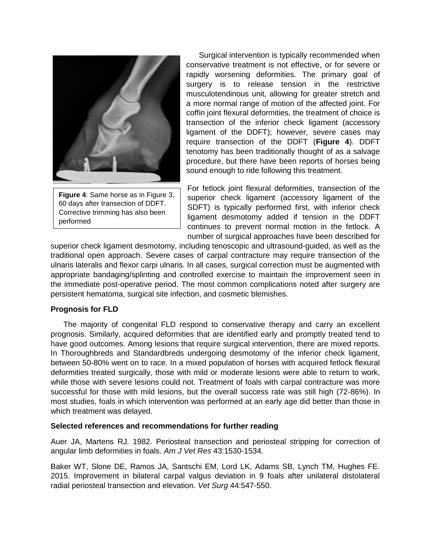

**Figure 4**: Same horse as in Figure 3, 60 days after transection of DDFT. Corrective trimming has also been performed

Surgical intervention is typically recommended when conservative treatment is not effective, or for severe or rapidly worsening deformities. The primary goal of surgery is to release tension in the restrictive musculotendinous unit, allowing for greater stretch and a more normal range of motion of the affected joint. For coffin joint flexural deformities, the treatment of choice is transection of the inferior check ligament (accessory ligament of the DDFT); however, severe cases may require transection of the DDFT (**Figure 4**). DDFT tenotomy has been traditionally thought of as a salvage procedure, but there have been reports of horses being sound enough to ride following this treatment.

For fetlock joint flexural deformities, transection of the superior check ligament (accessory ligament of the SDFT) is typically performed first, with inferior check ligament desmotomy added if tension in the DDFT continues to prevent normal motion in the fetlock. A number of surgical approaches have been described for

superior check ligament desmotomy, including tenoscopic and ultrasound-guided, as well as the traditional open approach. Severe cases of carpal contracture may require transection of the ulnaris lateralis and flexor carpi ulnaris. In all cases, surgical correction must be augmented with appropriate bandaging/splinting and controlled exercise to maintain the improvement seen in the immediate post-operative period. The most common complications noted after surgery are persistent hematoma, surgical site infection, and cosmetic blemishes.

## **Prognosis for FLD**

The majority of congenital FLD respond to conservative therapy and carry an excellent prognosis. Similarly, acquired deformities that are identified early and promptly treated tend to have good outcomes. Among lesions that require surgical intervention, there are mixed reports. In Thoroughbreds and Standardbreds undergoing desmotomy of the inferior check ligament, between 50-80% went on to race. In a mixed population of horses with acquired fetlock flexural deformities treated surgically, those with mild or moderate lesions were able to return to work, while those with severe lesions could not. Treatment of foals with carpal contracture was more successful for those with mild lesions, but the overall success rate was still high (72-86%). In most studies, foals in which intervention was performed at an early age did better than those in which treatment was delayed.

## **Selected references and recommendations for further reading**

Auer JA, Martens RJ. 1982. Periosteal transection and periosteal stripping for correction of angular limb deformities in foals. *Am J Vet Res* 43:1530-1534.

Baker WT, Slone DE, Ramos JA, Santschi EM, Lord LK, Adams SB, Lynch TM, Hughes FE. 2015. Improvement in bilateral carpal valgus deviation in 9 foals after unilateral distolateral radial periosteal transection and elevation. *Vet Surg* 44:547-550.